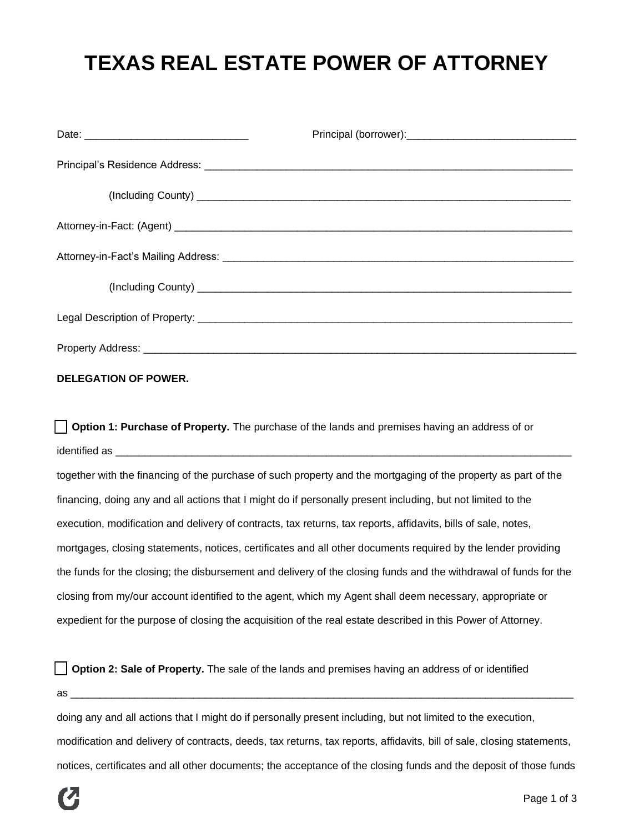## **TEXAS REAL ESTATE POWER OF ATTORNEY**

## **DELEGATION OF POWER.**

**Option 1: Purchase of Property.** The purchase of the lands and premises having an address of or identified as \_

together with the financing of the purchase of such property and the mortgaging of the property as part of the financing, doing any and all actions that I might do if personally present including, but not limited to the execution, modification and delivery of contracts, tax returns, tax reports, affidavits, bills of sale, notes, mortgages, closing statements, notices, certificates and all other documents required by the lender providing the funds for the closing; the disbursement and delivery of the closing funds and the withdrawal of funds for the closing from my/our account identified to the agent, which my Agent shall deem necessary, appropriate or expedient for the purpose of closing the acquisition of the real estate described in this Power of Attorney.

**Option 2: Sale of Property.** The sale of the lands and premises having an address of or identified  $\overline{a}$ s

doing any and all actions that I might do if personally present including, but not limited to the execution, modification and delivery of contracts, deeds, tax returns, tax reports, affidavits, bill of sale, closing statements, notices, certificates and all other documents; the acceptance of the closing funds and the deposit of those funds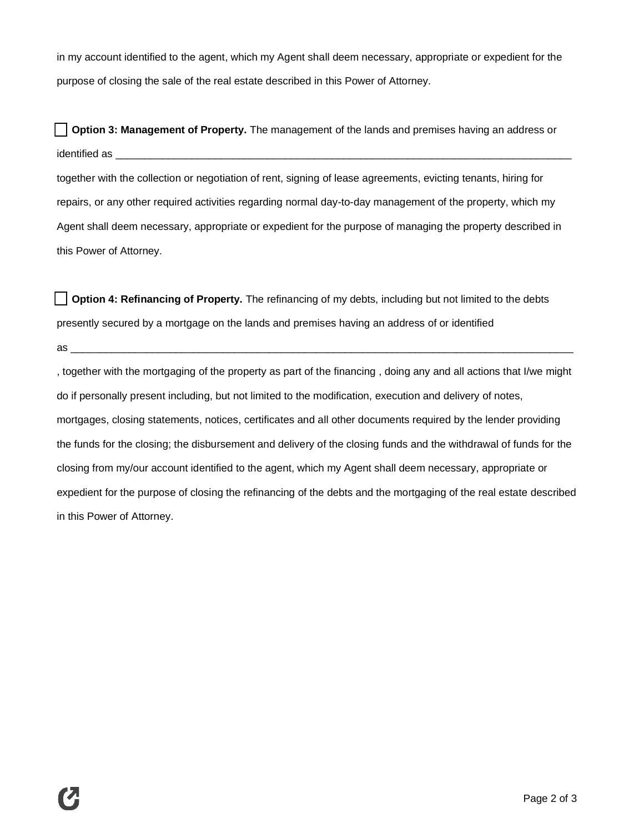in my account identified to the agent, which my Agent shall deem necessary, appropriate or expedient for the purpose of closing the sale of the real estate described in this Power of Attorney.

**Option 3: Management of Property.** The management of the lands and premises having an address or identified as \_\_\_\_\_\_\_\_\_\_\_\_\_\_\_\_\_\_\_\_\_\_\_\_\_\_\_\_\_\_\_\_\_\_\_\_\_\_\_\_\_\_\_\_\_\_\_\_\_\_\_\_\_\_\_\_\_\_\_\_\_\_\_\_\_\_\_\_\_\_\_\_\_\_\_\_\_\_ together with the collection or negotiation of rent, signing of lease agreements, evicting tenants, hiring for repairs, or any other required activities regarding normal day-to-day management of the property, which my Agent shall deem necessary, appropriate or expedient for the purpose of managing the property described in this Power of Attorney.

**Option 4: Refinancing of Property.** The refinancing of my debts, including but not limited to the debts presently secured by a mortgage on the lands and premises having an address of or identified

 $\mathsf{as} \_\_$ 

, together with the mortgaging of the property as part of the financing , doing any and all actions that I/we might do if personally present including, but not limited to the modification, execution and delivery of notes, mortgages, closing statements, notices, certificates and all other documents required by the lender providing the funds for the closing; the disbursement and delivery of the closing funds and the withdrawal of funds for the closing from my/our account identified to the agent, which my Agent shall deem necessary, appropriate or expedient for the purpose of closing the refinancing of the debts and the mortgaging of the real estate described in this Power of Attorney.